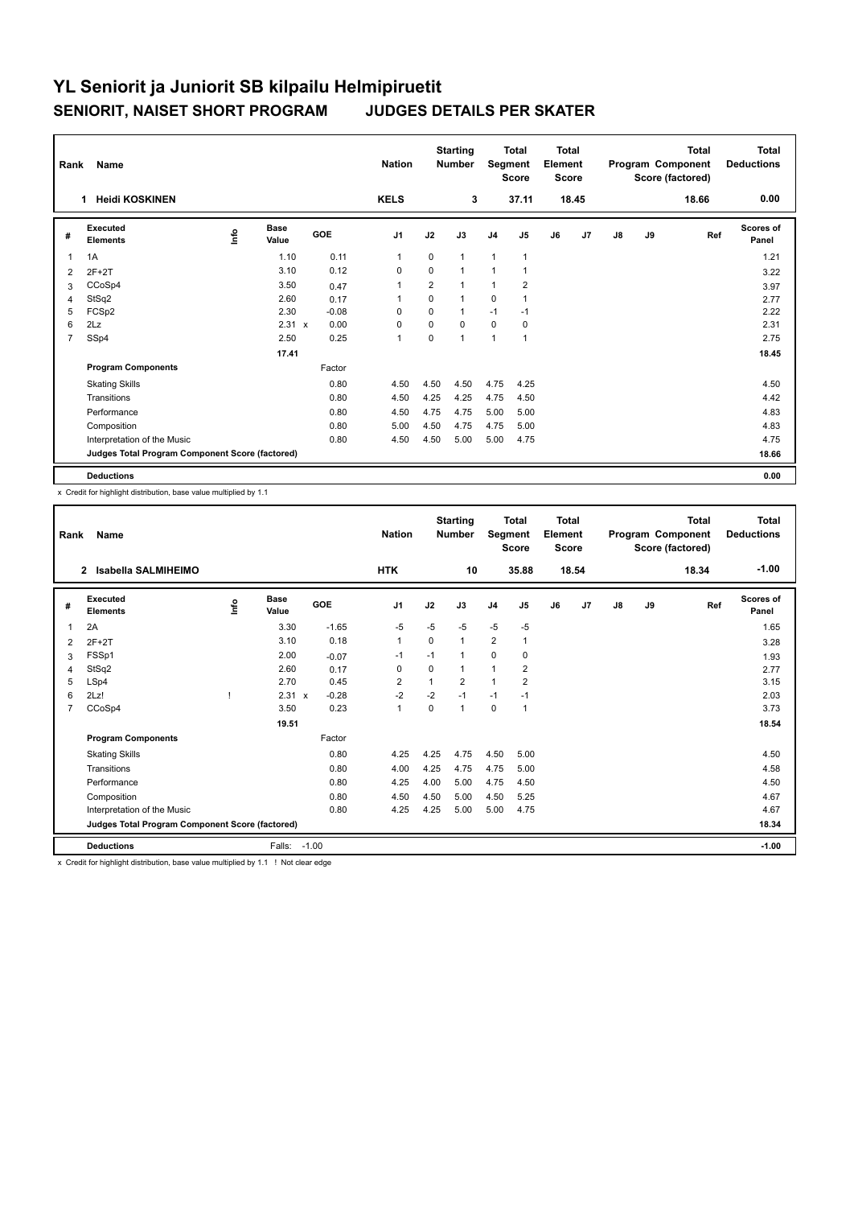| Rank           | Name                                            |                                  |                      |            | <b>Nation</b>  |                | <b>Starting</b><br><b>Number</b> | Segment        | Total<br><b>Score</b> | <b>Total</b><br>Element<br><b>Score</b> |       |               |    | <b>Total</b><br>Program Component<br>Score (factored) | <b>Total</b><br><b>Deductions</b> |
|----------------|-------------------------------------------------|----------------------------------|----------------------|------------|----------------|----------------|----------------------------------|----------------|-----------------------|-----------------------------------------|-------|---------------|----|-------------------------------------------------------|-----------------------------------|
|                | 1 Heidi KOSKINEN                                |                                  |                      |            | <b>KELS</b>    |                | 3                                |                | 37.11                 |                                         | 18.45 |               |    | 18.66                                                 | 0.00                              |
| #              | Executed<br><b>Elements</b>                     | $\mathop{\mathsf{Irr}}\nolimits$ | <b>Base</b><br>Value | <b>GOE</b> | J <sub>1</sub> | J2             | J3                               | J <sub>4</sub> | J5                    | J6                                      | J7    | $\mathsf{J}8$ | J9 | Ref                                                   | <b>Scores of</b><br>Panel         |
| 1              | 1A                                              |                                  | 1.10                 | 0.11       | $\mathbf{1}$   | $\mathbf 0$    | $\mathbf{1}$                     | $\mathbf{1}$   | 1                     |                                         |       |               |    |                                                       | 1.21                              |
| 2              | $2F+2T$                                         |                                  | 3.10                 | 0.12       | 0              | $\mathbf 0$    | $\mathbf{1}$                     | 1              | 1                     |                                         |       |               |    |                                                       | 3.22                              |
| 3              | CCoSp4                                          |                                  | 3.50                 | 0.47       | $\overline{1}$ | $\overline{2}$ | $\mathbf{1}$                     | 1              | 2                     |                                         |       |               |    |                                                       | 3.97                              |
| 4              | StSq2                                           |                                  | 2.60                 | 0.17       | 1              | $\Omega$       | $\mathbf{1}$                     | $\mathbf 0$    |                       |                                         |       |               |    |                                                       | 2.77                              |
| 5              | FCSp2                                           |                                  | 2.30                 | $-0.08$    | $\Omega$       | $\Omega$       | 1                                | $-1$           | $-1$                  |                                         |       |               |    |                                                       | 2.22                              |
| 6              | 2Lz                                             |                                  | $2.31 \times$        | 0.00       | $\Omega$       | $\Omega$       | $\Omega$                         | $\mathbf 0$    | $\mathbf 0$           |                                         |       |               |    |                                                       | 2.31                              |
| $\overline{7}$ | SSp4                                            |                                  | 2.50                 | 0.25       | $\overline{1}$ | 0              | $\mathbf{1}$                     | $\mathbf{1}$   | $\mathbf{1}$          |                                         |       |               |    |                                                       | 2.75                              |
|                |                                                 |                                  | 17.41                |            |                |                |                                  |                |                       |                                         |       |               |    |                                                       | 18.45                             |
|                | <b>Program Components</b>                       |                                  |                      | Factor     |                |                |                                  |                |                       |                                         |       |               |    |                                                       |                                   |
|                | <b>Skating Skills</b>                           |                                  |                      | 0.80       | 4.50           | 4.50           | 4.50                             | 4.75           | 4.25                  |                                         |       |               |    |                                                       | 4.50                              |
|                | Transitions                                     |                                  |                      | 0.80       | 4.50           | 4.25           | 4.25                             | 4.75           | 4.50                  |                                         |       |               |    |                                                       | 4.42                              |
|                | Performance                                     |                                  |                      | 0.80       | 4.50           | 4.75           | 4.75                             | 5.00           | 5.00                  |                                         |       |               |    |                                                       | 4.83                              |
|                | Composition                                     |                                  |                      | 0.80       | 5.00           | 4.50           | 4.75                             | 4.75           | 5.00                  |                                         |       |               |    |                                                       | 4.83                              |
|                | Interpretation of the Music                     |                                  |                      | 0.80       | 4.50           | 4.50           | 5.00                             | 5.00           | 4.75                  |                                         |       |               |    |                                                       | 4.75                              |
|                | Judges Total Program Component Score (factored) |                                  |                      |            |                |                |                                  |                |                       |                                         |       |               |    |                                                       | 18.66                             |
|                | <b>Deductions</b>                               |                                  |                      |            |                |                |                                  |                |                       |                                         |       |               |    |                                                       | 0.00                              |

x Credit for highlight distribution, base value multiplied by 1.1

| Rank           | Name                                            |      |                      |         | <b>Nation</b>  |          | <b>Starting</b><br><b>Number</b> | Segment        | <b>Total</b><br><b>Score</b> | <b>Total</b><br>Element<br><b>Score</b> |       |    |    | <b>Total</b><br>Program Component<br>Score (factored) | <b>Total</b><br><b>Deductions</b> |
|----------------|-------------------------------------------------|------|----------------------|---------|----------------|----------|----------------------------------|----------------|------------------------------|-----------------------------------------|-------|----|----|-------------------------------------------------------|-----------------------------------|
|                | Isabella SALMIHEIMO<br>$\mathbf{2}$             |      |                      |         | <b>HTK</b>     |          | 10                               |                | 35.88                        |                                         | 18.54 |    |    | 18.34                                                 | $-1.00$                           |
| #              | Executed<br><b>Elements</b>                     | lnfo | Base<br>Value        | GOE     | J <sub>1</sub> | J2       | J3                               | J <sub>4</sub> | J5                           | J6                                      | J7    | J8 | J9 | Ref                                                   | Scores of<br>Panel                |
| 1              | 2A                                              |      | 3.30                 | $-1.65$ | $-5$           | $-5$     | $-5$                             | $-5$           | $-5$                         |                                         |       |    |    |                                                       | 1.65                              |
| 2              | $2F+2T$                                         |      | 3.10                 | 0.18    | $\mathbf{1}$   | 0        | $\mathbf{1}$                     | $\overline{2}$ | 1                            |                                         |       |    |    |                                                       | 3.28                              |
| 3              | FSSp1                                           |      | 2.00                 | $-0.07$ | $-1$           | $-1$     | 1                                | $\mathbf 0$    | 0                            |                                         |       |    |    |                                                       | 1.93                              |
| $\overline{4}$ | StSq2                                           |      | 2.60                 | 0.17    | 0              | 0        | $\mathbf{1}$                     | $\overline{1}$ | $\overline{2}$               |                                         |       |    |    |                                                       | 2.77                              |
| 5              | LSp4                                            |      | 2.70                 | 0.45    | $\overline{2}$ |          | $\overline{2}$                   | $\overline{1}$ | $\overline{2}$               |                                         |       |    |    |                                                       | 3.15                              |
| 6              | 2Lz!                                            |      | 2.31<br>$\mathbf{x}$ | $-0.28$ | $-2$           | $-2$     | $-1$                             | $-1$           | $-1$                         |                                         |       |    |    |                                                       | 2.03                              |
| $\overline{7}$ | CCoSp4                                          |      | 3.50                 | 0.23    | $\mathbf{1}$   | $\Omega$ | 1                                | 0              | -1                           |                                         |       |    |    |                                                       | 3.73                              |
|                |                                                 |      | 19.51                |         |                |          |                                  |                |                              |                                         |       |    |    |                                                       | 18.54                             |
|                | <b>Program Components</b>                       |      |                      | Factor  |                |          |                                  |                |                              |                                         |       |    |    |                                                       |                                   |
|                | <b>Skating Skills</b>                           |      |                      | 0.80    | 4.25           | 4.25     | 4.75                             | 4.50           | 5.00                         |                                         |       |    |    |                                                       | 4.50                              |
|                | Transitions                                     |      |                      | 0.80    | 4.00           | 4.25     | 4.75                             | 4.75           | 5.00                         |                                         |       |    |    |                                                       | 4.58                              |
|                | Performance                                     |      |                      | 0.80    | 4.25           | 4.00     | 5.00                             | 4.75           | 4.50                         |                                         |       |    |    |                                                       | 4.50                              |
|                | Composition                                     |      |                      | 0.80    | 4.50           | 4.50     | 5.00                             | 4.50           | 5.25                         |                                         |       |    |    |                                                       | 4.67                              |
|                | Interpretation of the Music                     |      |                      | 0.80    | 4.25           | 4.25     | 5.00                             | 5.00           | 4.75                         |                                         |       |    |    |                                                       | 4.67                              |
|                | Judges Total Program Component Score (factored) |      |                      |         |                |          |                                  |                |                              |                                         |       |    |    |                                                       | 18.34                             |
|                | <b>Deductions</b>                               |      | Falls:               | $-1.00$ |                |          |                                  |                |                              |                                         |       |    |    |                                                       | $-1.00$                           |

x Credit for highlight distribution, base value multiplied by 1.1 ! Not clear edge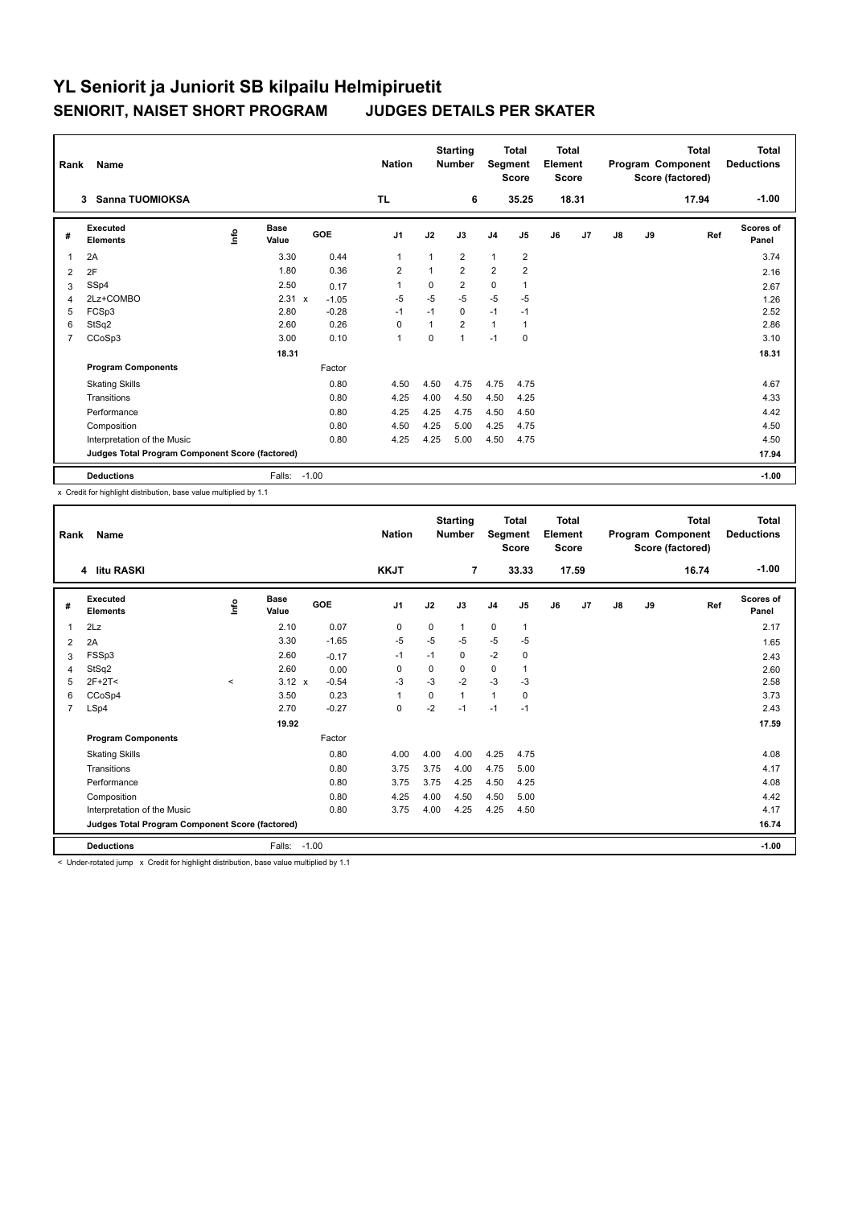| Rank           | <b>Name</b>                                     |   |                      |         | <b>Nation</b>  |                | <b>Starting</b><br><b>Number</b> |                | <b>Total</b><br>Segment<br><b>Score</b> | <b>Total</b><br>Element<br><b>Score</b> |       |               |    | <b>Total</b><br>Program Component<br>Score (factored) | Total<br><b>Deductions</b> |
|----------------|-------------------------------------------------|---|----------------------|---------|----------------|----------------|----------------------------------|----------------|-----------------------------------------|-----------------------------------------|-------|---------------|----|-------------------------------------------------------|----------------------------|
|                | Sanna TUOMIOKSA<br>3                            |   |                      |         | <b>TL</b>      |                | 6                                |                | 35.25                                   |                                         | 18.31 |               |    | 17.94                                                 | $-1.00$                    |
| #              | Executed<br><b>Elements</b>                     | ۴ | <b>Base</b><br>Value | GOE     | J1             | J2             | J3                               | J <sub>4</sub> | J5                                      | J6                                      | J7    | $\mathsf{J}8$ | J9 | Ref                                                   | Scores of<br>Panel         |
| 1              | 2A                                              |   | 3.30                 | 0.44    | $\mathbf 1$    | 1              | $\overline{2}$                   | $\mathbf{1}$   | $\overline{2}$                          |                                         |       |               |    |                                                       | 3.74                       |
| 2              | 2F                                              |   | 1.80                 | 0.36    | $\overline{2}$ | $\overline{1}$ | $\overline{2}$                   | $\overline{2}$ | $\overline{2}$                          |                                         |       |               |    |                                                       | 2.16                       |
| 3              | SSp4                                            |   | 2.50                 | 0.17    | $\overline{1}$ | 0              | $\overline{2}$                   | 0              | $\mathbf{1}$                            |                                         |       |               |    |                                                       | 2.67                       |
| $\overline{4}$ | 2Lz+COMBO                                       |   | 2.31 x               | $-1.05$ | $-5$           | $-5$           | $-5$                             | $-5$           | $-5$                                    |                                         |       |               |    |                                                       | 1.26                       |
| 5              | FCSp3                                           |   | 2.80                 | $-0.28$ | $-1$           | $-1$           | 0                                | $-1$           | $-1$                                    |                                         |       |               |    |                                                       | 2.52                       |
| 6              | StSq2                                           |   | 2.60                 | 0.26    | $\Omega$       | 1              | $\overline{2}$                   | $\mathbf{1}$   | $\mathbf{1}$                            |                                         |       |               |    |                                                       | 2.86                       |
| $\overline{7}$ | CCoSp3                                          |   | 3.00                 | 0.10    | $\mathbf{1}$   | 0              | 1                                | $-1$           | 0                                       |                                         |       |               |    |                                                       | 3.10                       |
|                |                                                 |   | 18.31                |         |                |                |                                  |                |                                         |                                         |       |               |    |                                                       | 18.31                      |
|                | <b>Program Components</b>                       |   |                      | Factor  |                |                |                                  |                |                                         |                                         |       |               |    |                                                       |                            |
|                | <b>Skating Skills</b>                           |   |                      | 0.80    | 4.50           | 4.50           | 4.75                             | 4.75           | 4.75                                    |                                         |       |               |    |                                                       | 4.67                       |
|                | Transitions                                     |   |                      | 0.80    | 4.25           | 4.00           | 4.50                             | 4.50           | 4.25                                    |                                         |       |               |    |                                                       | 4.33                       |
|                | Performance                                     |   |                      | 0.80    | 4.25           | 4.25           | 4.75                             | 4.50           | 4.50                                    |                                         |       |               |    |                                                       | 4.42                       |
|                | Composition                                     |   |                      | 0.80    | 4.50           | 4.25           | 5.00                             | 4.25           | 4.75                                    |                                         |       |               |    |                                                       | 4.50                       |
|                | Interpretation of the Music                     |   |                      | 0.80    | 4.25           | 4.25           | 5.00                             | 4.50           | 4.75                                    |                                         |       |               |    |                                                       | 4.50                       |
|                | Judges Total Program Component Score (factored) |   |                      |         |                |                |                                  |                |                                         |                                         |       |               |    |                                                       | 17.94                      |
|                | <b>Deductions</b>                               |   | Falls:               | $-1.00$ |                |                |                                  |                |                                         |                                         |       |               |    |                                                       | $-1.00$                    |

x Credit for highlight distribution, base value multiplied by 1.1

| Rank           | <b>Name</b>                                     |         |                      |         | <b>Nation</b>  |          | <b>Starting</b><br><b>Number</b> | Segment        | <b>Total</b><br><b>Score</b> | <b>Total</b><br>Element<br><b>Score</b> |       |    |    | <b>Total</b><br>Program Component<br>Score (factored) | <b>Total</b><br><b>Deductions</b> |
|----------------|-------------------------------------------------|---------|----------------------|---------|----------------|----------|----------------------------------|----------------|------------------------------|-----------------------------------------|-------|----|----|-------------------------------------------------------|-----------------------------------|
|                | 4 litu RASKI                                    |         |                      |         | <b>KKJT</b>    |          | $\overline{7}$                   |                | 33.33                        |                                         | 17.59 |    |    | 16.74                                                 | $-1.00$                           |
| #              | Executed<br><b>Elements</b>                     | lnfo    | <b>Base</b><br>Value | GOE     | J <sub>1</sub> | J2       | J3                               | J <sub>4</sub> | J5                           | J6                                      | J7    | J8 | J9 | Ref                                                   | <b>Scores of</b><br>Panel         |
| 1              | 2Lz                                             |         | 2.10                 | 0.07    | 0              | 0        | $\mathbf{1}$                     | $\mathbf 0$    | $\mathbf{1}$                 |                                         |       |    |    |                                                       | 2.17                              |
| 2              | 2A                                              |         | 3.30                 | $-1.65$ | -5             | $-5$     | $-5$                             | $-5$           | $-5$                         |                                         |       |    |    |                                                       | 1.65                              |
| 3              | FSSp3                                           |         | 2.60                 | $-0.17$ | $-1$           | $-1$     | 0                                | $-2$           | 0                            |                                         |       |    |    |                                                       | 2.43                              |
| 4              | StSq2                                           |         | 2.60                 | 0.00    | 0              | $\Omega$ | 0                                | $\pmb{0}$      | 1                            |                                         |       |    |    |                                                       | 2.60                              |
| 5              | $2F+2T2$                                        | $\,<\,$ | $3.12 \times$        | $-0.54$ | $-3$           | $-3$     | $-2$                             | $-3$           | -3                           |                                         |       |    |    |                                                       | 2.58                              |
| 6              | CCoSp4                                          |         | 3.50                 | 0.23    | $\mathbf{1}$   | 0        | $\mathbf{1}$                     | $\mathbf{1}$   | 0                            |                                         |       |    |    |                                                       | 3.73                              |
| $\overline{7}$ | LSp4                                            |         | 2.70                 | $-0.27$ | 0              | $-2$     | $-1$                             | $-1$           | $-1$                         |                                         |       |    |    |                                                       | 2.43                              |
|                |                                                 |         | 19.92                |         |                |          |                                  |                |                              |                                         |       |    |    |                                                       | 17.59                             |
|                | <b>Program Components</b>                       |         |                      | Factor  |                |          |                                  |                |                              |                                         |       |    |    |                                                       |                                   |
|                | <b>Skating Skills</b>                           |         |                      | 0.80    | 4.00           | 4.00     | 4.00                             | 4.25           | 4.75                         |                                         |       |    |    |                                                       | 4.08                              |
|                | Transitions                                     |         |                      | 0.80    | 3.75           | 3.75     | 4.00                             | 4.75           | 5.00                         |                                         |       |    |    |                                                       | 4.17                              |
|                | Performance                                     |         |                      | 0.80    | 3.75           | 3.75     | 4.25                             | 4.50           | 4.25                         |                                         |       |    |    |                                                       | 4.08                              |
|                | Composition                                     |         |                      | 0.80    | 4.25           | 4.00     | 4.50                             | 4.50           | 5.00                         |                                         |       |    |    |                                                       | 4.42                              |
|                | Interpretation of the Music                     |         |                      | 0.80    | 3.75           | 4.00     | 4.25                             | 4.25           | 4.50                         |                                         |       |    |    |                                                       | 4.17                              |
|                | Judges Total Program Component Score (factored) |         |                      |         |                |          |                                  |                |                              |                                         |       |    |    |                                                       | 16.74                             |
|                | <b>Deductions</b>                               |         | Falls: -1.00         |         |                |          |                                  |                |                              |                                         |       |    |    |                                                       | $-1.00$                           |
|                |                                                 |         |                      |         |                |          |                                  |                |                              |                                         |       |    |    |                                                       |                                   |

 $<$  Under-rotated jump  $\times$  Credit for highlight distribution, base value multiplied by 1.1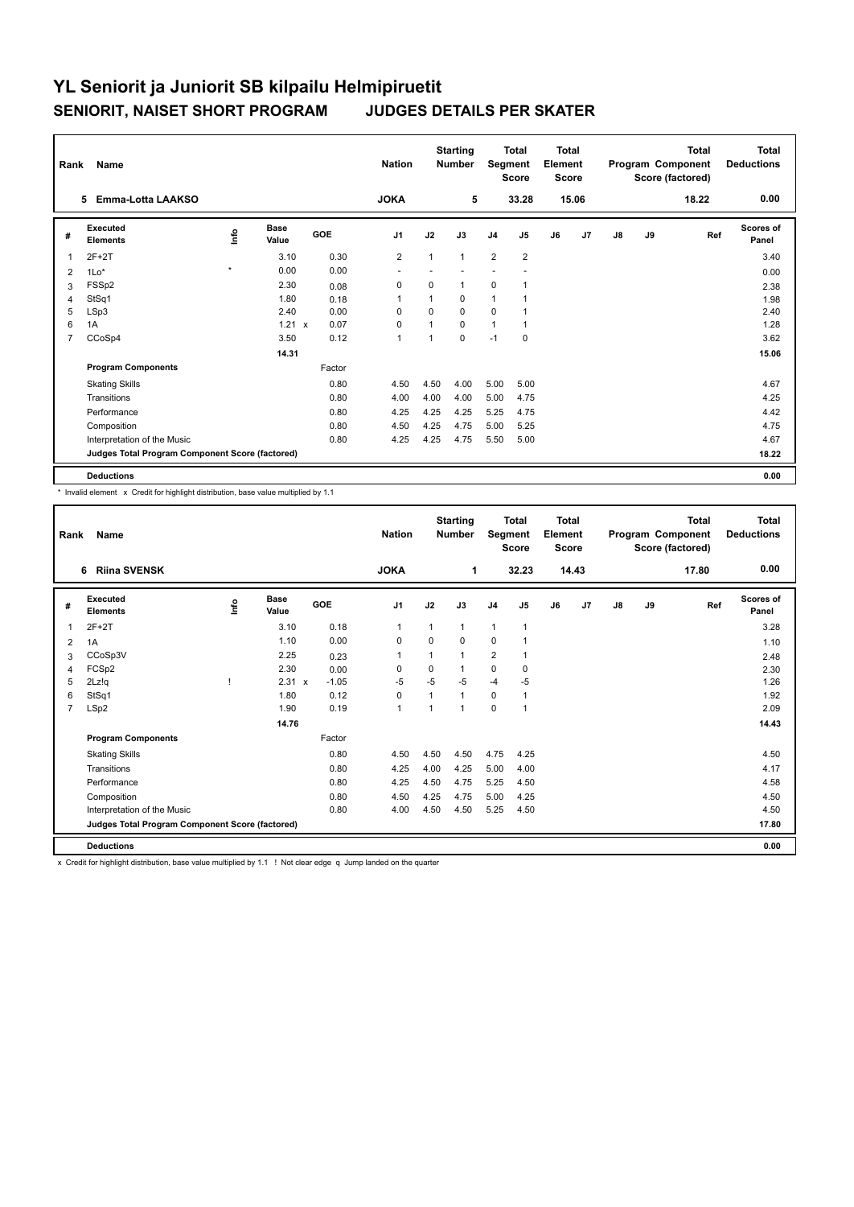| Rank           | Name                                            |                                  |               |            | <b>Nation</b>  |              | <b>Starting</b><br><b>Number</b> | Segment        | Total<br><b>Score</b> | <b>Total</b><br>Element<br><b>Score</b> |       |    |    | <b>Total</b><br>Program Component<br>Score (factored) | Total<br><b>Deductions</b> |
|----------------|-------------------------------------------------|----------------------------------|---------------|------------|----------------|--------------|----------------------------------|----------------|-----------------------|-----------------------------------------|-------|----|----|-------------------------------------------------------|----------------------------|
|                | Emma-Lotta LAAKSO<br>5.                         |                                  |               |            | <b>JOKA</b>    |              | 5                                |                | 33.28                 |                                         | 15.06 |    |    | 18.22                                                 | 0.00                       |
| #              | Executed<br><b>Elements</b>                     | $\mathop{\mathsf{Irr}}\nolimits$ | Base<br>Value | <b>GOE</b> | J <sub>1</sub> | J2           | J3                               | J <sub>4</sub> | J <sub>5</sub>        | J6                                      | J7    | J8 | J9 | Ref                                                   | Scores of<br>Panel         |
| 1              | $2F+2T$                                         |                                  | 3.10          | 0.30       | $\overline{2}$ | $\mathbf{1}$ | $\mathbf{1}$                     | $\overline{2}$ | $\overline{2}$        |                                         |       |    |    |                                                       | 3.40                       |
| 2              | $1Lo*$                                          | $\pmb{\ast}$                     | 0.00          | 0.00       |                |              |                                  |                |                       |                                         |       |    |    |                                                       | 0.00                       |
| 3              | FSS <sub>p2</sub>                               |                                  | 2.30          | 0.08       | 0              | $\Omega$     | $\mathbf{1}$                     | $\mathbf 0$    | $\mathbf{1}$          |                                         |       |    |    |                                                       | 2.38                       |
| 4              | StSq1                                           |                                  | 1.80          | 0.18       | 1              |              | 0                                | $\mathbf{1}$   |                       |                                         |       |    |    |                                                       | 1.98                       |
| 5              | LSp3                                            |                                  | 2.40          | 0.00       | $\Omega$       | $\Omega$     | $\Omega$                         | $\Omega$       |                       |                                         |       |    |    |                                                       | 2.40                       |
| 6              | 1A                                              |                                  | $1.21 \times$ | 0.07       | 0              |              | $\Omega$                         | $\mathbf{1}$   | 1                     |                                         |       |    |    |                                                       | 1.28                       |
| $\overline{7}$ | CCoSp4                                          |                                  | 3.50          | 0.12       | $\overline{1}$ |              | 0                                | $-1$           | $\mathbf 0$           |                                         |       |    |    |                                                       | 3.62                       |
|                |                                                 |                                  | 14.31         |            |                |              |                                  |                |                       |                                         |       |    |    |                                                       | 15.06                      |
|                | <b>Program Components</b>                       |                                  |               | Factor     |                |              |                                  |                |                       |                                         |       |    |    |                                                       |                            |
|                | <b>Skating Skills</b>                           |                                  |               | 0.80       | 4.50           | 4.50         | 4.00                             | 5.00           | 5.00                  |                                         |       |    |    |                                                       | 4.67                       |
|                | Transitions                                     |                                  |               | 0.80       | 4.00           | 4.00         | 4.00                             | 5.00           | 4.75                  |                                         |       |    |    |                                                       | 4.25                       |
|                | Performance                                     |                                  |               | 0.80       | 4.25           | 4.25         | 4.25                             | 5.25           | 4.75                  |                                         |       |    |    |                                                       | 4.42                       |
|                | Composition                                     |                                  |               | 0.80       | 4.50           | 4.25         | 4.75                             | 5.00           | 5.25                  |                                         |       |    |    |                                                       | 4.75                       |
|                | Interpretation of the Music                     |                                  |               | 0.80       | 4.25           | 4.25         | 4.75                             | 5.50           | 5.00                  |                                         |       |    |    |                                                       | 4.67                       |
|                | Judges Total Program Component Score (factored) |                                  |               |            |                |              |                                  |                |                       |                                         |       |    |    |                                                       | 18.22                      |
|                | <b>Deductions</b>                               |                                  |               |            |                |              |                                  |                |                       |                                         |       |    |    |                                                       | 0.00                       |

\* Invalid element x Credit for highlight distribution, base value multiplied by 1.1

| Rank           | Name                                            |      |                      |            | <b>Nation</b>  |                | <b>Starting</b><br><b>Number</b> | Segment        | <b>Total</b><br><b>Score</b> | <b>Total</b><br>Element<br><b>Score</b> |                |               |    | <b>Total</b><br>Program Component<br>Score (factored) | <b>Total</b><br><b>Deductions</b> |
|----------------|-------------------------------------------------|------|----------------------|------------|----------------|----------------|----------------------------------|----------------|------------------------------|-----------------------------------------|----------------|---------------|----|-------------------------------------------------------|-----------------------------------|
|                | <b>Riina SVENSK</b><br>6                        |      |                      |            | <b>JOKA</b>    |                | 1                                |                | 32.23                        |                                         | 14.43          |               |    | 17.80                                                 | 0.00                              |
| #              | Executed<br><b>Elements</b>                     | ١nf٥ | <b>Base</b><br>Value | <b>GOE</b> | J <sub>1</sub> | J2             | J3                               | J <sub>4</sub> | J <sub>5</sub>               | J6                                      | J <sub>7</sub> | $\mathsf{J}8$ | J9 | Ref                                                   | <b>Scores of</b><br>Panel         |
| 1              | $2F+2T$                                         |      | 3.10                 | 0.18       | $\mathbf{1}$   | 1              | $\mathbf{1}$                     | $\mathbf{1}$   | $\mathbf{1}$                 |                                         |                |               |    |                                                       | 3.28                              |
| 2              | 1A                                              |      | 1.10                 | 0.00       | $\mathbf 0$    | $\Omega$       | 0                                | $\mathbf 0$    | 1                            |                                         |                |               |    |                                                       | 1.10                              |
| 3              | CCoSp3V                                         |      | 2.25                 | 0.23       | $\mathbf{1}$   | 1              | 1                                | $\overline{2}$ | 1                            |                                         |                |               |    |                                                       | 2.48                              |
| $\overline{4}$ | FCSp2                                           |      | 2.30                 | 0.00       | 0              | $\Omega$       | 1                                | $\mathbf 0$    | 0                            |                                         |                |               |    |                                                       | 2.30                              |
| 5              | 2Lz!q                                           |      | $2.31 \times$        | $-1.05$    | $-5$           | $-5$           | $-5$                             | $-4$           | $-5$                         |                                         |                |               |    |                                                       | 1.26                              |
| 6              | StSq1                                           |      | 1.80                 | 0.12       | $\mathbf 0$    | $\overline{1}$ | $\mathbf{1}$                     | $\mathbf 0$    | 1                            |                                         |                |               |    |                                                       | 1.92                              |
| 7              | LSp2                                            |      | 1.90                 | 0.19       | $\mathbf{1}$   | $\overline{1}$ | 1                                | 0              | 1                            |                                         |                |               |    |                                                       | 2.09                              |
|                |                                                 |      | 14.76                |            |                |                |                                  |                |                              |                                         |                |               |    |                                                       | 14.43                             |
|                | <b>Program Components</b>                       |      |                      | Factor     |                |                |                                  |                |                              |                                         |                |               |    |                                                       |                                   |
|                | <b>Skating Skills</b>                           |      |                      | 0.80       | 4.50           | 4.50           | 4.50                             | 4.75           | 4.25                         |                                         |                |               |    |                                                       | 4.50                              |
|                | Transitions                                     |      |                      | 0.80       | 4.25           | 4.00           | 4.25                             | 5.00           | 4.00                         |                                         |                |               |    |                                                       | 4.17                              |
|                | Performance                                     |      |                      | 0.80       | 4.25           | 4.50           | 4.75                             | 5.25           | 4.50                         |                                         |                |               |    |                                                       | 4.58                              |
|                | Composition                                     |      |                      | 0.80       | 4.50           | 4.25           | 4.75                             | 5.00           | 4.25                         |                                         |                |               |    |                                                       | 4.50                              |
|                | Interpretation of the Music                     |      |                      | 0.80       | 4.00           | 4.50           | 4.50                             | 5.25           | 4.50                         |                                         |                |               |    |                                                       | 4.50                              |
|                | Judges Total Program Component Score (factored) |      |                      |            |                |                |                                  |                |                              |                                         |                |               |    |                                                       | 17.80                             |
|                | <b>Deductions</b>                               |      |                      |            |                |                |                                  |                |                              |                                         |                |               |    |                                                       | 0.00                              |

x Credit for highlight distribution, base value multiplied by 1.1 ! Not clear edge q Jump landed on the quarter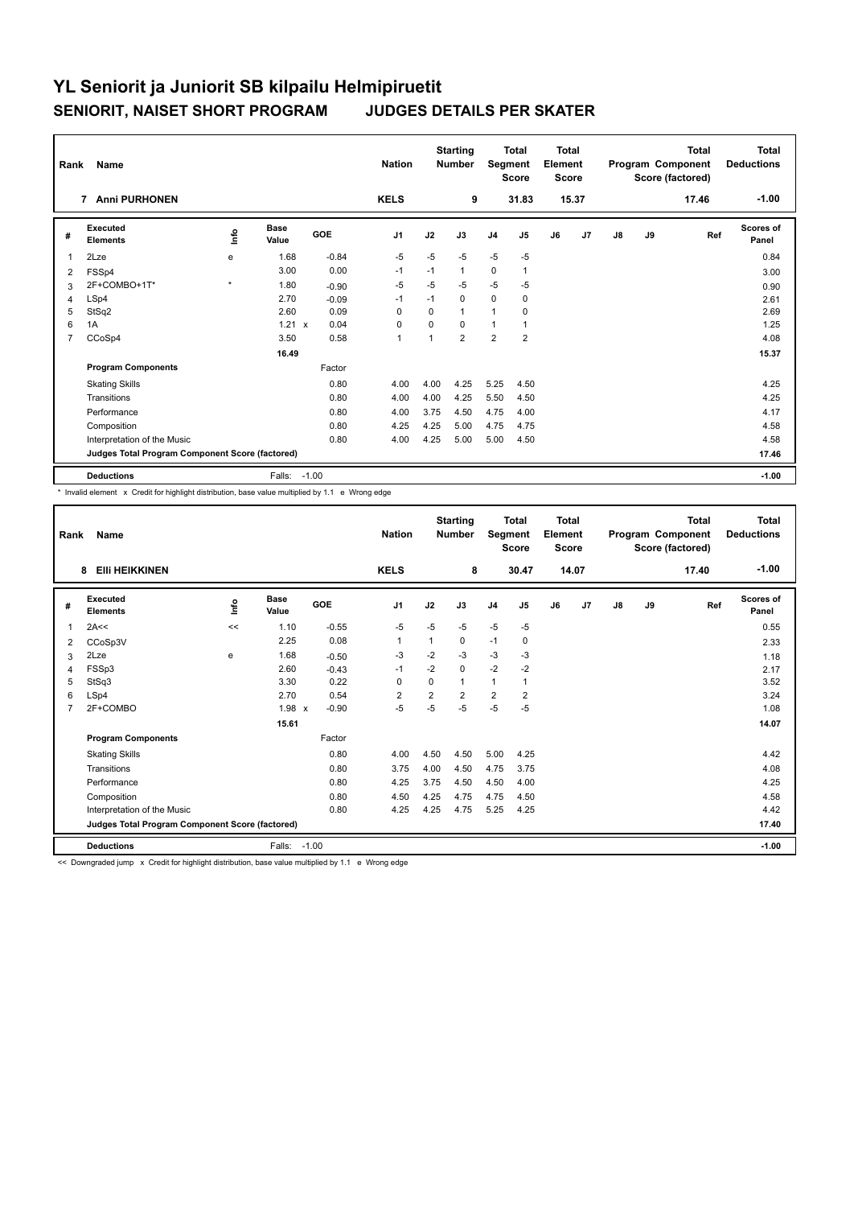| Rank           | <b>Name</b>                                     |         |                      |            | <b>Nation</b> |          | <b>Starting</b><br><b>Number</b> | Segment        | <b>Total</b><br><b>Score</b> | <b>Total</b><br>Element<br><b>Score</b> |       |               |    | <b>Total</b><br>Program Component<br>Score (factored) | Total<br><b>Deductions</b> |
|----------------|-------------------------------------------------|---------|----------------------|------------|---------------|----------|----------------------------------|----------------|------------------------------|-----------------------------------------|-------|---------------|----|-------------------------------------------------------|----------------------------|
|                | <b>Anni PURHONEN</b><br>$\overline{7}$          |         |                      |            | <b>KELS</b>   |          | 9                                |                | 31.83                        |                                         | 15.37 |               |    | 17.46                                                 | $-1.00$                    |
| #              | Executed<br><b>Elements</b>                     | ١nfo    | <b>Base</b><br>Value | <b>GOE</b> | J1            | J2       | J3                               | J <sub>4</sub> | J5                           | J6                                      | J7    | $\mathsf{J}8$ | J9 | Ref                                                   | Scores of<br>Panel         |
| $\overline{1}$ | 2Lze                                            | e       | 1.68                 | $-0.84$    | $-5$          | $-5$     | $-5$                             | $-5$           | $-5$                         |                                         |       |               |    |                                                       | 0.84                       |
| 2              | FSSp4                                           |         | 3.00                 | 0.00       | $-1$          | $-1$     | 1                                | $\mathbf 0$    | $\mathbf{1}$                 |                                         |       |               |    |                                                       | 3.00                       |
| 3              | 2F+COMBO+1T*                                    | $\star$ | 1.80                 | $-0.90$    | $-5$          | $-5$     | $-5$                             | $-5$           | -5                           |                                         |       |               |    |                                                       | 0.90                       |
| $\overline{4}$ | LSp4                                            |         | 2.70                 | $-0.09$    | $-1$          | $-1$     | 0                                | $\mathbf 0$    | 0                            |                                         |       |               |    |                                                       | 2.61                       |
| 5              | StSq2                                           |         | 2.60                 | 0.09       | $\Omega$      | $\Omega$ | 1                                | $\overline{1}$ | $\Omega$                     |                                         |       |               |    |                                                       | 2.69                       |
| 6              | 1A                                              |         | 1.21 x               | 0.04       | $\Omega$      | $\Omega$ | $\Omega$                         | $\overline{1}$ | 1                            |                                         |       |               |    |                                                       | 1.25                       |
| $\overline{7}$ | CCoSp4                                          |         | 3.50                 | 0.58       | $\mathbf{1}$  | 1        | $\overline{2}$                   | $\overline{2}$ | $\overline{2}$               |                                         |       |               |    |                                                       | 4.08                       |
|                |                                                 |         | 16.49                |            |               |          |                                  |                |                              |                                         |       |               |    |                                                       | 15.37                      |
|                | <b>Program Components</b>                       |         |                      | Factor     |               |          |                                  |                |                              |                                         |       |               |    |                                                       |                            |
|                | <b>Skating Skills</b>                           |         |                      | 0.80       | 4.00          | 4.00     | 4.25                             | 5.25           | 4.50                         |                                         |       |               |    |                                                       | 4.25                       |
|                | Transitions                                     |         |                      | 0.80       | 4.00          | 4.00     | 4.25                             | 5.50           | 4.50                         |                                         |       |               |    |                                                       | 4.25                       |
|                | Performance                                     |         |                      | 0.80       | 4.00          | 3.75     | 4.50                             | 4.75           | 4.00                         |                                         |       |               |    |                                                       | 4.17                       |
|                | Composition                                     |         |                      | 0.80       | 4.25          | 4.25     | 5.00                             | 4.75           | 4.75                         |                                         |       |               |    |                                                       | 4.58                       |
|                | Interpretation of the Music                     |         |                      | 0.80       | 4.00          | 4.25     | 5.00                             | 5.00           | 4.50                         |                                         |       |               |    |                                                       | 4.58                       |
|                | Judges Total Program Component Score (factored) |         |                      |            |               |          |                                  |                |                              |                                         |       |               |    |                                                       | 17.46                      |
|                | <b>Deductions</b>                               |         | Falls:               | $-1.00$    |               |          |                                  |                |                              |                                         |       |               |    |                                                       | $-1.00$                    |

\* Invalid element x Credit for highlight distribution, base value multiplied by 1.1 e Wrong edge

| Rank           | Name                                            |      |                      |         | <b>Nation</b>  |                | <b>Starting</b><br><b>Number</b> | Segment        | <b>Total</b><br><b>Score</b> | <b>Total</b><br>Element<br><b>Score</b> |       |               |    | <b>Total</b><br>Program Component<br>Score (factored) | <b>Total</b><br><b>Deductions</b> |
|----------------|-------------------------------------------------|------|----------------------|---------|----------------|----------------|----------------------------------|----------------|------------------------------|-----------------------------------------|-------|---------------|----|-------------------------------------------------------|-----------------------------------|
|                | <b>EIII HEIKKINEN</b><br>8                      |      |                      |         | <b>KELS</b>    |                | 8                                |                | 30.47                        |                                         | 14.07 |               |    | 17.40                                                 | $-1.00$                           |
| #              | Executed<br><b>Elements</b>                     | ١nf٥ | <b>Base</b><br>Value | GOE     | J <sub>1</sub> | J2             | J3                               | J <sub>4</sub> | J5                           | J6                                      | J7    | $\mathsf{J}8$ | J9 | Ref                                                   | Scores of<br>Panel                |
| 1              | 2A<<                                            | <<   | 1.10                 | $-0.55$ | $-5$           | $-5$           | $-5$                             | $-5$           | $-5$                         |                                         |       |               |    |                                                       | 0.55                              |
| 2              | CCoSp3V                                         |      | 2.25                 | 0.08    | $\mathbf{1}$   | 1              | 0                                | $-1$           | 0                            |                                         |       |               |    |                                                       | 2.33                              |
| 3              | 2Lze                                            | e    | 1.68                 | $-0.50$ | -3             | $-2$           | $-3$                             | -3             | -3                           |                                         |       |               |    |                                                       | 1.18                              |
| $\overline{4}$ | FSSp3                                           |      | 2.60                 | $-0.43$ | $-1$           | $-2$           | 0                                | $-2$           | $-2$                         |                                         |       |               |    |                                                       | 2.17                              |
| 5              | StSq3                                           |      | 3.30                 | 0.22    | $\Omega$       | $\Omega$       | $\mathbf{1}$                     | $\mathbf{1}$   | 1                            |                                         |       |               |    |                                                       | 3.52                              |
| 6              | LSp4                                            |      | 2.70                 | 0.54    | $\overline{2}$ | $\overline{2}$ | $\overline{2}$                   | $\overline{2}$ | $\overline{2}$               |                                         |       |               |    |                                                       | 3.24                              |
| $\overline{7}$ | 2F+COMBO                                        |      | 1.98 x               | $-0.90$ | $-5$           | $-5$           | $-5$                             | $-5$           | $-5$                         |                                         |       |               |    |                                                       | 1.08                              |
|                |                                                 |      | 15.61                |         |                |                |                                  |                |                              |                                         |       |               |    |                                                       | 14.07                             |
|                | <b>Program Components</b>                       |      |                      | Factor  |                |                |                                  |                |                              |                                         |       |               |    |                                                       |                                   |
|                | <b>Skating Skills</b>                           |      |                      | 0.80    | 4.00           | 4.50           | 4.50                             | 5.00           | 4.25                         |                                         |       |               |    |                                                       | 4.42                              |
|                | Transitions                                     |      |                      | 0.80    | 3.75           | 4.00           | 4.50                             | 4.75           | 3.75                         |                                         |       |               |    |                                                       | 4.08                              |
|                | Performance                                     |      |                      | 0.80    | 4.25           | 3.75           | 4.50                             | 4.50           | 4.00                         |                                         |       |               |    |                                                       | 4.25                              |
|                | Composition                                     |      |                      | 0.80    | 4.50           | 4.25           | 4.75                             | 4.75           | 4.50                         |                                         |       |               |    |                                                       | 4.58                              |
|                | Interpretation of the Music                     |      |                      | 0.80    | 4.25           | 4.25           | 4.75                             | 5.25           | 4.25                         |                                         |       |               |    |                                                       | 4.42                              |
|                | Judges Total Program Component Score (factored) |      |                      |         |                |                |                                  |                |                              |                                         |       |               |    |                                                       | 17.40                             |
|                | <b>Deductions</b>                               |      | Falls:               | $-1.00$ |                |                |                                  |                |                              |                                         |       |               |    |                                                       | $-1.00$                           |

<< Downgraded jump x Credit for highlight distribution, base value multiplied by 1.1 e Wrong edge